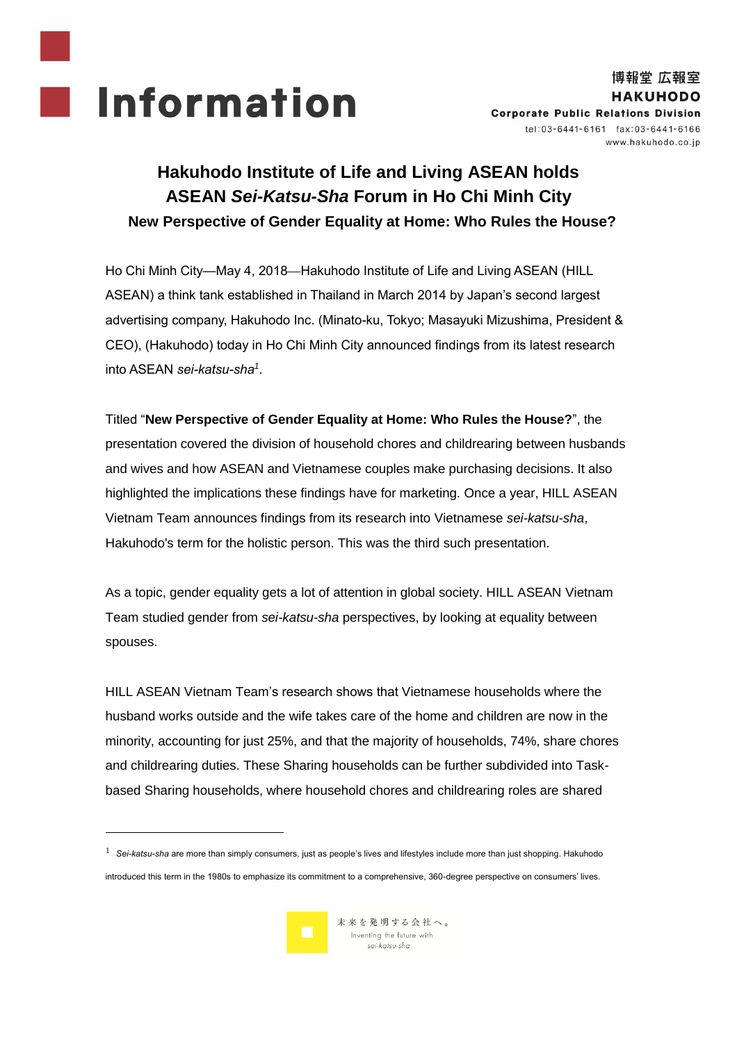

# **Hakuhodo Institute of Life and Living ASEAN holds ASEAN** *Sei-Katsu-Sha* **Forum in Ho Chi Minh City New Perspective of Gender Equality at Home: Who Rules the House?**

Ho Chi Minh City—May 4, 2018—Hakuhodo Institute of Life and Living ASEAN (HILL ASEAN) a think tank established in Thailand in March 2014 by Japan's second largest advertising company, Hakuhodo Inc. (Minato-ku, Tokyo; Masayuki Mizushima, President & CEO), (Hakuhodo) today in Ho Chi Minh City announced findings from its latest research into ASEAN *sei-katsu-sha<sup>1</sup>* .

Titled "**New Perspective of Gender Equality at Home: Who Rules the House?**", the presentation covered the division of household chores and childrearing between husbands and wives and how ASEAN and Vietnamese couples make purchasing decisions. It also highlighted the implications these findings have for marketing. Once a year, HILL ASEAN Vietnam Team announces findings from its research into Vietnamese *sei-katsu-sha*, Hakuhodo's term for the holistic person. This was the third such presentation.

As a topic, gender equality gets a lot of attention in global society. HILL ASEAN Vietnam Team studied gender from *sei-katsu-sha* perspectives, by looking at equality between spouses.

HILL ASEAN Vietnam Team's research shows that Vietnamese households where the husband works outside and the wife takes care of the home and children are now in the minority, accounting for just 25%, and that the majority of households, 74%, share chores and childrearing duties. These Sharing households can be further subdivided into Taskbased Sharing households, where household chores and childrearing roles are shared

1 *Sei-katsu-sha* are more than simply consumers, just as people's lives and lifestyles include more than just shopping. Hakuhodo

introduced this term in the 1980s to emphasize its commitment to a comprehensive, 360-degree perspective on consumers' lives.



1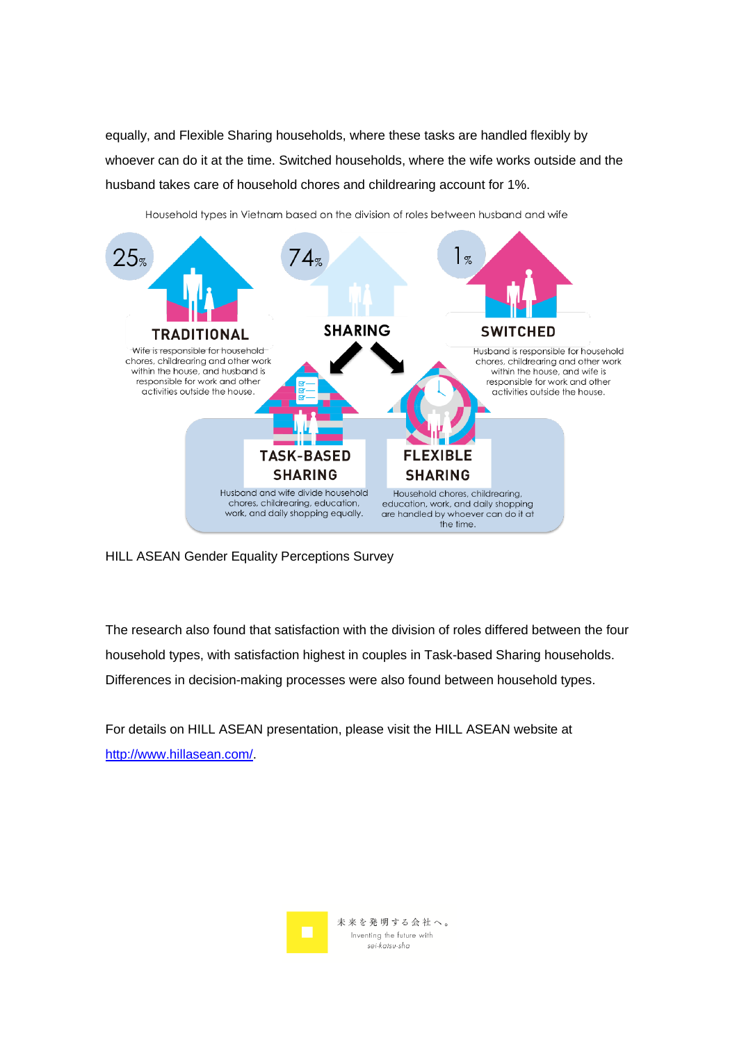equally, and Flexible Sharing households, where these tasks are handled flexibly by whoever can do it at the time. Switched households, where the wife works outside and the husband takes care of household chores and childrearing account for 1%.



Household types in Vietnam based on the division of roles between husband and wife

HILL ASEAN Gender Equality Perceptions Survey

The research also found that satisfaction with the division of roles differed between the four household types, with satisfaction highest in couples in Task-based Sharing households. Differences in decision-making processes were also found between household types.

For details on HILL ASEAN presentation, please visit the HILL ASEAN website at [http://www.hillasean.com/.](http://www.hillasean.com/)

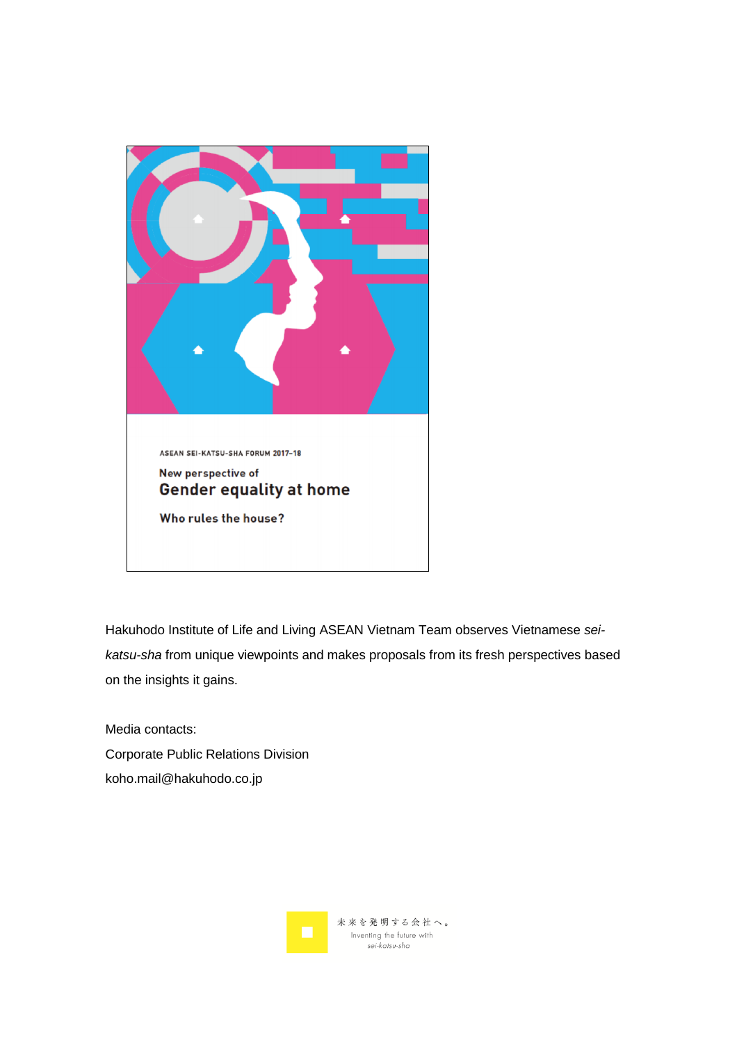

Hakuhodo Institute of Life and Living ASEAN Vietnam Team observes Vietnamese *seikatsu-sha* from unique viewpoints and makes proposals from its fresh perspectives based on the insights it gains.

Media contacts: Corporate Public Relations Division koho.mail@hakuhodo.co.jp

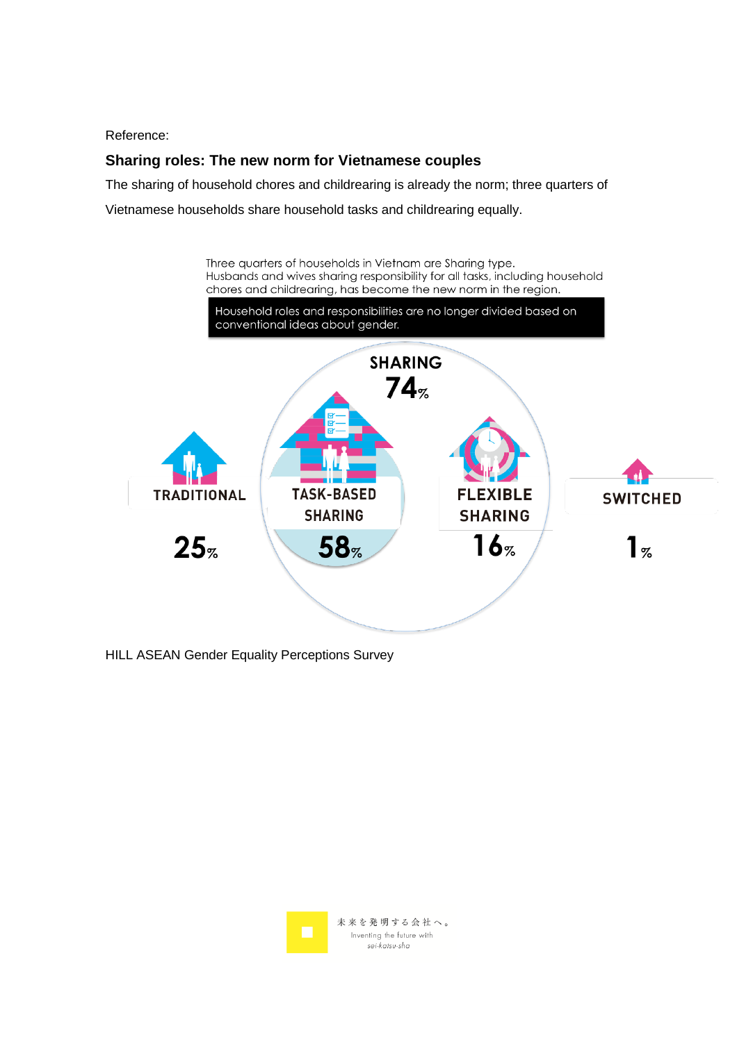Reference:

## **Sharing roles: The new norm for Vietnamese couples**

The sharing of household chores and childrearing is already the norm; three quarters of Vietnamese households share household tasks and childrearing equally.



HILL ASEAN Gender Equality Perceptions Survey

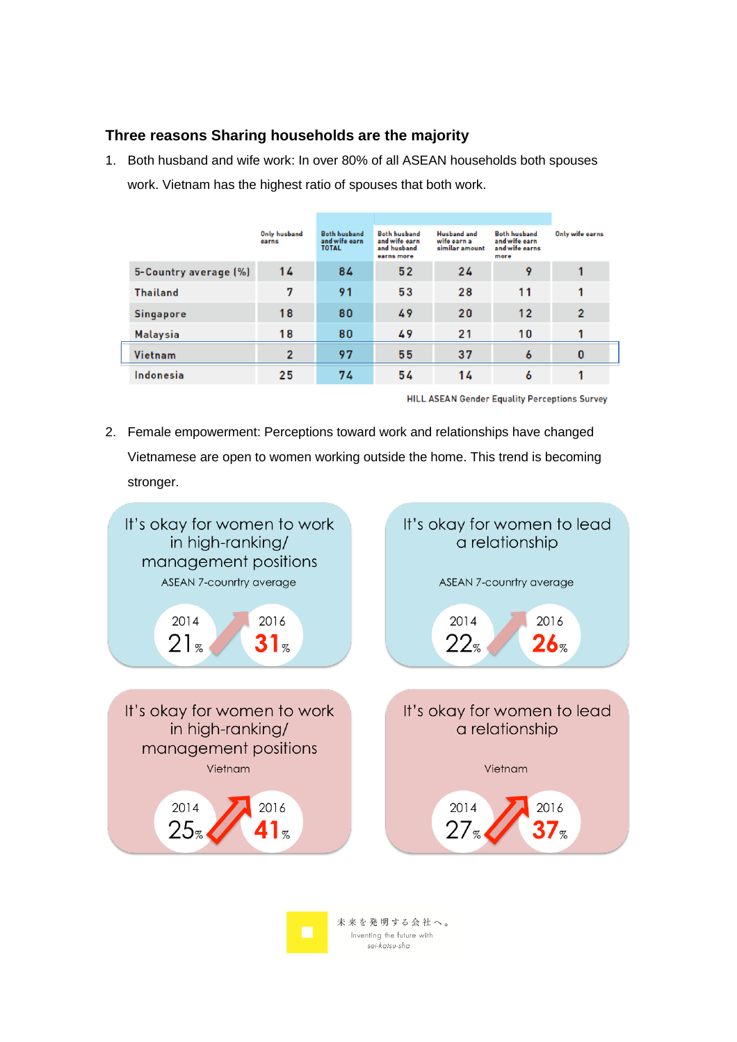## **Three reasons Sharing households are the majority**

1. Both husband and wife work: In over 80% of all ASEAN households both spouses work. Vietnam has the highest ratio of spouses that both work.

|                       | Only husband<br>earns | <b>Both husband</b><br>and wife earn<br><b>TOTAL</b> | <b>Both husband</b><br>and wife earn<br>and husband<br>earns more | <b>Husband</b> and<br>wife earn a<br>similar amount | <b>Both husband</b><br>and wife earn<br>and wife earns<br>more | Only wife earns |
|-----------------------|-----------------------|------------------------------------------------------|-------------------------------------------------------------------|-----------------------------------------------------|----------------------------------------------------------------|-----------------|
| 5-Country average (%) | 14                    | 84                                                   | 52                                                                | 24                                                  | 9                                                              |                 |
| <b>Thailand</b>       | 7                     | 91                                                   | 53                                                                | 28                                                  | 11                                                             |                 |
| <b>Singapore</b>      | 18                    | 80                                                   | 49                                                                | 20                                                  | 12                                                             | $\overline{2}$  |
| <b>Malaysia</b>       | 18                    | 80                                                   | 49                                                                | 21                                                  | 10                                                             |                 |
| Vietnam               | $\overline{2}$        | 97                                                   | 55                                                                | 37                                                  | 6                                                              | 0               |
| Indonesia             | 25                    | 74                                                   | 54                                                                | 14                                                  | 6                                                              |                 |

**HILL ASEAN Gender Equality Perceptions Survey** 

2. Female empowerment: Perceptions toward work and relationships have changed Vietnamese are open to women working outside the home. This trend is becoming stronger.



Inventing the future with sei-katsu-sha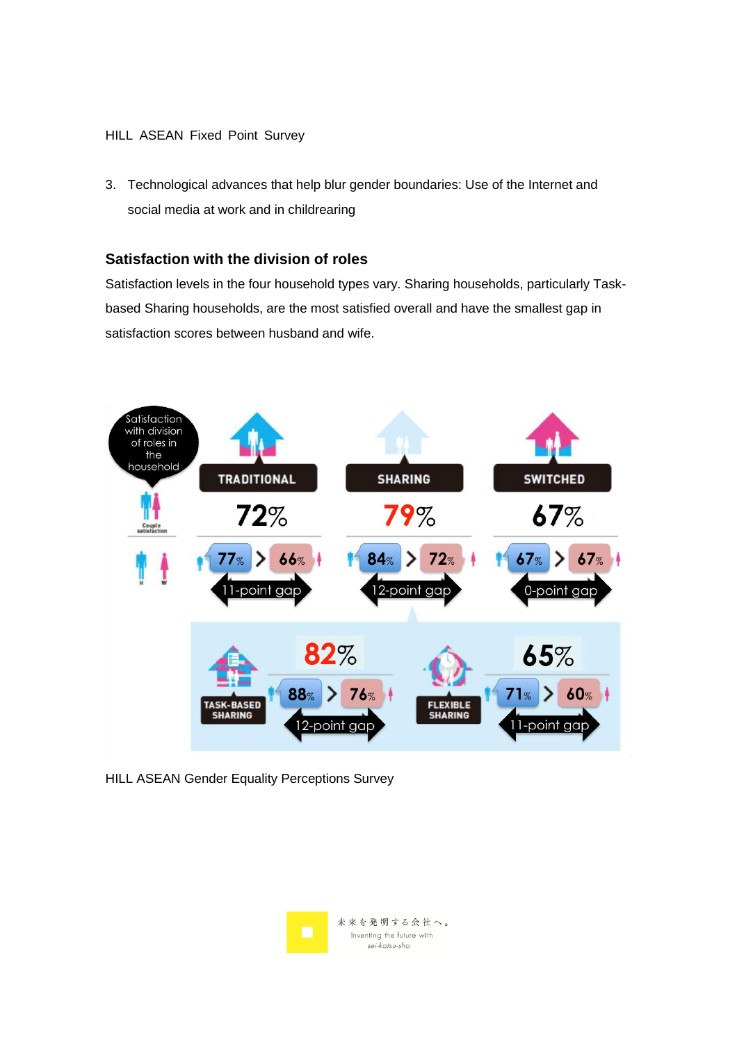#### HILL ASEAN Fixed Point Survey

3. Technological advances that help blur gender boundaries: Use of the Internet and social media at work and in childrearing

## **Satisfaction with the division of roles**

Satisfaction levels in the four household types vary. Sharing households, particularly Taskbased Sharing households, are the most satisfied overall and have the smallest gap in satisfaction scores between husband and wife.



HILL ASEAN Gender Equality Perceptions Survey

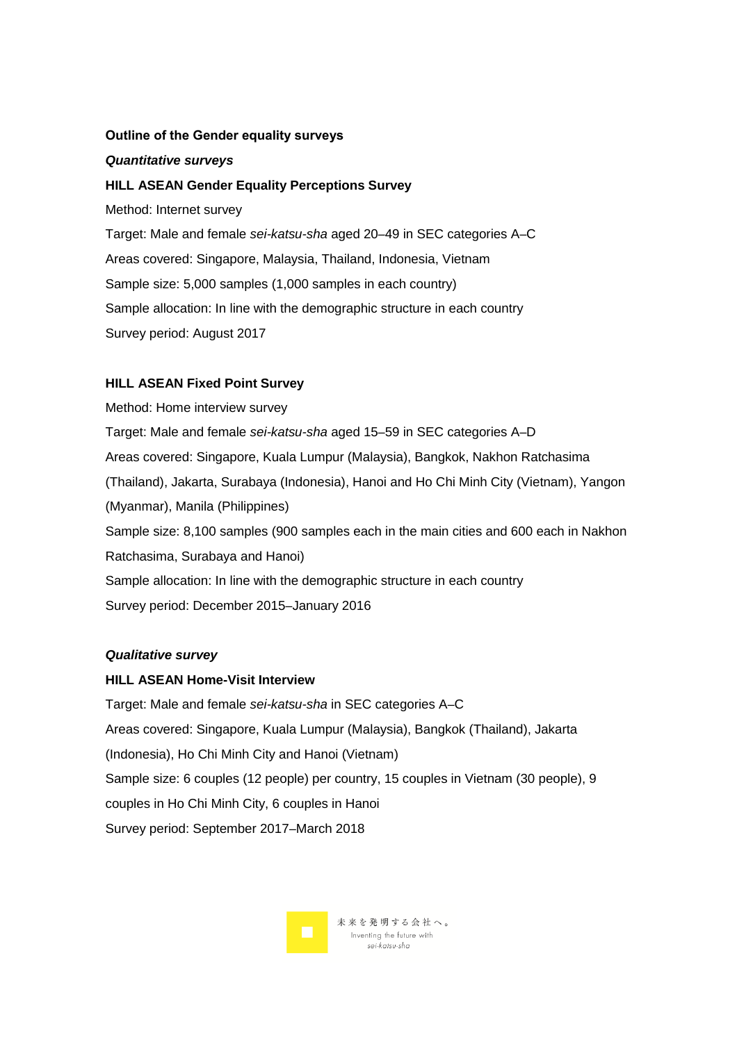#### **Outline of the Gender equality surveys**

#### *Quantitative surveys*

#### **HILL ASEAN Gender Equality Perceptions Survey**

Method: Internet survey

Target: Male and female *sei-katsu-sha* aged 20–49 in SEC categories A–C Areas covered: Singapore, Malaysia, Thailand, Indonesia, Vietnam Sample size: 5,000 samples (1,000 samples in each country) Sample allocation: In line with the demographic structure in each country Survey period: August 2017

#### **HILL ASEAN Fixed Point Survey**

Method: Home interview survey Target: Male and female *sei-katsu-sha* aged 15–59 in SEC categories A–D Areas covered: Singapore, Kuala Lumpur (Malaysia), Bangkok, Nakhon Ratchasima (Thailand), Jakarta, Surabaya (Indonesia), Hanoi and Ho Chi Minh City (Vietnam), Yangon (Myanmar), Manila (Philippines) Sample size: 8,100 samples (900 samples each in the main cities and 600 each in Nakhon Ratchasima, Surabaya and Hanoi) Sample allocation: In line with the demographic structure in each country Survey period: December 2015–January 2016

#### *Qualitative survey*

#### **HILL ASEAN Home-Visit Interview**

Target: Male and female *sei-katsu-sha* in SEC categories A–C Areas covered: Singapore, Kuala Lumpur (Malaysia), Bangkok (Thailand), Jakarta (Indonesia), Ho Chi Minh City and Hanoi (Vietnam) Sample size: 6 couples (12 people) per country, 15 couples in Vietnam (30 people), 9 couples in Ho Chi Minh City, 6 couples in Hanoi Survey period: September 2017–March 2018

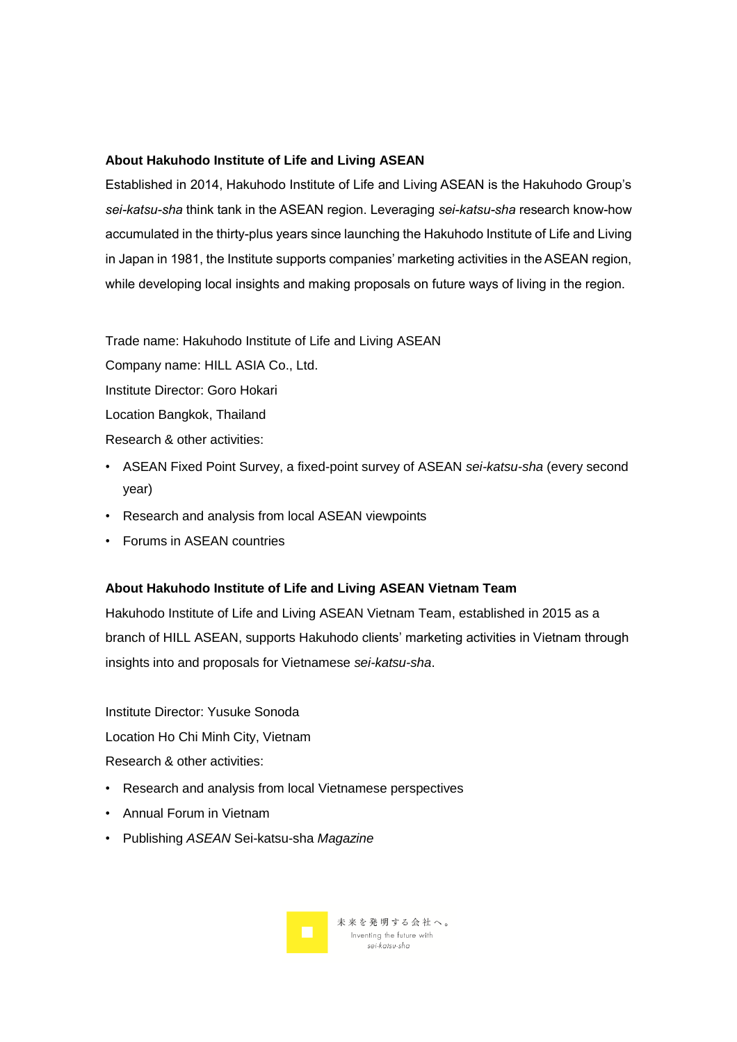#### **About Hakuhodo Institute of Life and Living ASEAN**

Established in 2014, Hakuhodo Institute of Life and Living ASEAN is the Hakuhodo Group's *sei-katsu-sha* think tank in the ASEAN region. Leveraging *sei-katsu-sha* research know-how accumulated in the thirty-plus years since launching the Hakuhodo Institute of Life and Living in Japan in 1981, the Institute supports companies' marketing activities in the ASEAN region, while developing local insights and making proposals on future ways of living in the region.

Trade name: Hakuhodo Institute of Life and Living ASEAN

Company name: HILL ASIA Co., Ltd. Institute Director: Goro Hokari Location Bangkok, Thailand

- Research & other activities:
- ASEAN Fixed Point Survey, a fixed-point survey of ASEAN *sei-katsu-sha* (every second year)
- Research and analysis from local ASEAN viewpoints
- Forums in ASEAN countries

### **About Hakuhodo Institute of Life and Living ASEAN Vietnam Team**

Hakuhodo Institute of Life and Living ASEAN Vietnam Team, established in 2015 as a branch of HILL ASEAN, supports Hakuhodo clients' marketing activities in Vietnam through insights into and proposals for Vietnamese *sei-katsu-sha*.

Institute Director: Yusuke Sonoda Location Ho Chi Minh City, Vietnam Research & other activities:

- Research and analysis from local Vietnamese perspectives
- Annual Forum in Vietnam
- Publishing *ASEAN* Sei-katsu-sha *Magazine*